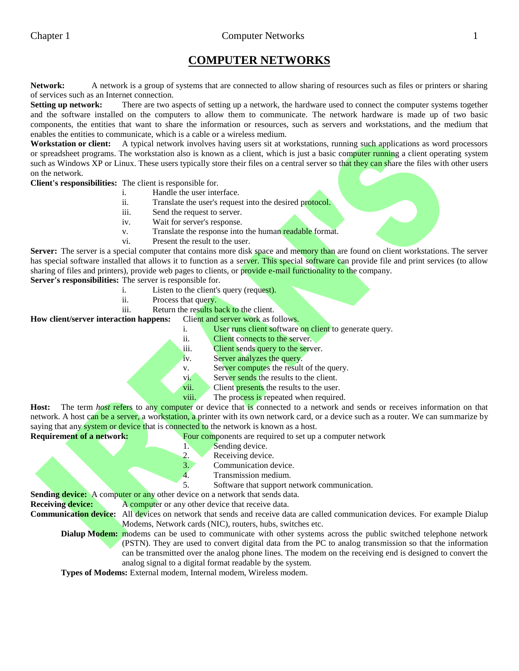# **COMPUTER NETWORKS**

**Network:** A network is a group of systems that are connected to allow sharing of resources such as files or printers or sharing of services such as an Internet connection.

**Setting up network:** There are two aspects of setting up a network, the hardware used to connect the computer systems together and the software installed on the computers to allow them to communicate. The network hardware is made up of two basic components, the entities that want to share the information or resources, such as servers and workstations, and the medium that enables the entities to communicate, which is a cable or a wireless medium.

**Workstation or client:** A typical network involves having users sit at workstations, running such applications as word processors or spreadsheet programs. The workstation also is known as a client, which is just a basic computer running a client operating system such as Windows XP or Linux. These users typically store their files on a central server so that they can share the files with other users on the network.

**Client's responsibilities:** The client is responsible for.

- i. Handle the user interface.
- ii. Translate the user's request into the desired protocol.
- iii. Send the request to server.
- iv. Wait for server's response.
- v. Translate the response into the human readable format.
- vi. Present the result to the user.

Server: The server is a special computer that contains more disk space and memory than are found on client workstations. The server has special software installed that allows it to function as a server. This special software can provide file and print services (to allow sharing of files and printers), provide web pages to clients, or provide e-mail functionality to the company.

**Server's responsibilities:** The server is responsible for.

- i. Listen to the client's query (request).
- ii. Process that query.
- iii. Return the results back to the client.

**How client/server interaction happens:** Client and server work as follows.

- i. User runs client software on client to generate query.
	- ii. Client connects to the server.
	- iii. Client sends query to the server.
	- iv. Server analyzes the query.
	- v. Server computes the result of the query.
	- vi. Server sends the results to the client.
	- vii. Client presents the results to the user.
	- viii. The process is repeated when required.

**Host:** The term *host* refers to any computer or device that is connected to a network and sends or receives information on that network. A host can be a server, a workstation, a printer with its own network card, or a device such as a router. We can summarize by saying that any **system or device that is connected to** the network is known as a host.

**Requirement of a network:** Four components are required to set up a computer network

- 1. Sending device.
- 2. Receiving device.
- 3. Communication device.
- 4. Transmission medium.<br>5. Software that support n

5. Software that support network communication.

**Sending device:** A computer or any other device on a network that sends data. **Receiving device:** A computer or any other device that receive data.

**Communication device:** All devices on network that sends and receive data are called communication devices. For example Dialup Modems, Network cards (NIC), routers, hubs, switches etc.

**Dialup Modem:** modems can be used to communicate with other systems across the public switched telephone network (PSTN). They are used to convert digital data from the PC to analog transmission so that the information can be transmitted over the analog phone lines. The modem on the receiving end is designed to convert the analog signal to a digital format readable by the system.

**Types of Modems:** External modem, Internal modem, Wireless modem.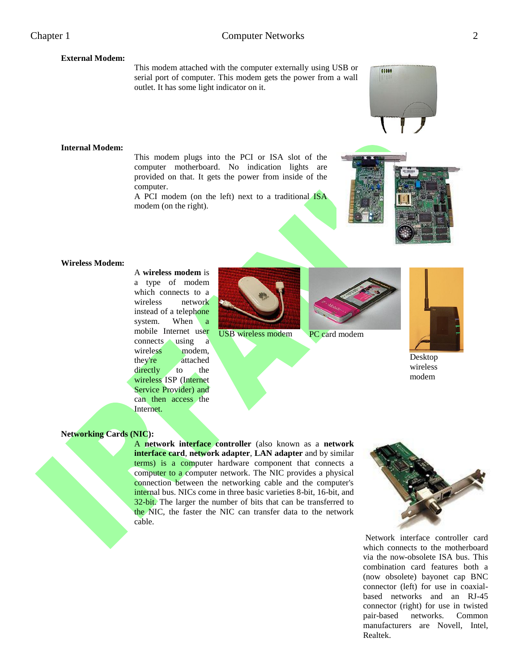## **External Modem:**

This modem attached with the computer externally using USB or serial port of computer. This modem gets the power from a wall outlet. It has some light indicator on it.

### **Internal Modem:**

This modem plugs into the PCI or ISA slot of the computer motherboard. No indication lights are provided on that. It gets the power from inside of the computer.

A PCI modem (on the left) next to a traditional ISA modem (on the right).



00000

### **Wireless Modem:**

A **wireless modem** is a type of modem which connects to a wireless network instead of a telephone system. When a mobile Internet user connects using a wireless modem, they're attached directly to the wireless ISP (Internet Service Provider) and can then access the Internet.



USB wireless modem PC card modem





Desktop wireless modem

### **Networking Cards (NIC):**

A **network interface controller** (also known as a **network interface card**, **network adapter**, **LAN adapter** and by similar terms) is a computer hardware component that connects a computer to a computer network. The NIC provides a physical connection between the networking cable and the computer's internal bus. NICs come in three basic varieties 8-bit, 16-bit, and 32-bit. The larger the number of bits that can be transferred to the NIC, the faster the NIC can transfer data to the network cable.



Network interface controller card which connects to the motherboard via the now-obsolete ISA bus. This combination card features both a (now obsolete) bayonet cap BNC connector (left) for use in coaxialbased networks and an RJ-45 connector (right) for use in twisted pair-based networks. Common manufacturers are Novell, Intel, Realtek.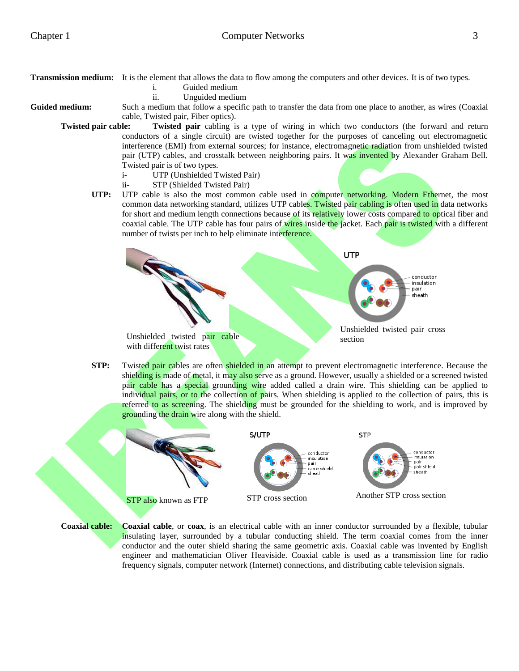**Transmission medium:** It is the element that allows the data to flow among the computers and other devices. It is of two types.

- i. Guided medium
- ii. Unguided medium

Guided medium: Such a medium that follow a specific path to transfer the data from one place to another, as wires (Coaxial cable, Twisted pair, Fiber optics).

**Twisted pair cable: Twisted pair** cabling is a type of wiring in which two conductors (the forward and return conductors of a single circuit) are twisted together for the purposes of canceling out electromagnetic interference (EMI) from external sources; for instance, electromagnetic radiation from unshielded twisted pair (UTP) cables, and crosstalk between neighboring pairs. It was invented by Alexander Graham Bell. Twisted pair is of two types.

- i- UTP (Unshielded Twisted Pair)
- ii- STP (Shielded Twisted Pair)
- **UTP:** UTP cable is also the most common cable used in computer networking. Modern Ethernet, the most common data networking standard, utilizes UTP cables. Twisted pair cabling is often used in data networks for short and medium length connections because of its relatively lower costs compared to optical fiber and coaxial cable. The UTP cable has four pairs of wires inside the jacket. Each pair is twisted with a different number of twists per inch to help eliminate interference.



**STP:** Twisted pair cables are often shielded in an attempt to prevent electromagnetic interference. Because the shielding is made of metal, it may also serve as a ground. However, usually a shielded or a screened twisted pair cable has a special grounding wire added called a drain wire. This shielding can be applied to individual pairs, or to the collection of pairs. When shielding is applied to the collection of pairs, this is referred to as screening. The shielding must be grounded for the shielding to work, and is improved by grounding the drain wire along with the shield.



**Coaxial cable: Coaxial cable**, or **coax**, is an electrical cable with an inner conductor surrounded by a flexible, tubular insulating layer, surrounded by a tubular conducting shield. The term coaxial comes from the inner conductor and the outer shield sharing the same geometric axis. Coaxial cable was invented by English engineer and mathematician Oliver Heaviside. Coaxial cable is used as a transmission line for radio frequency signals, computer network (Internet) connections, and distributing cable television signals.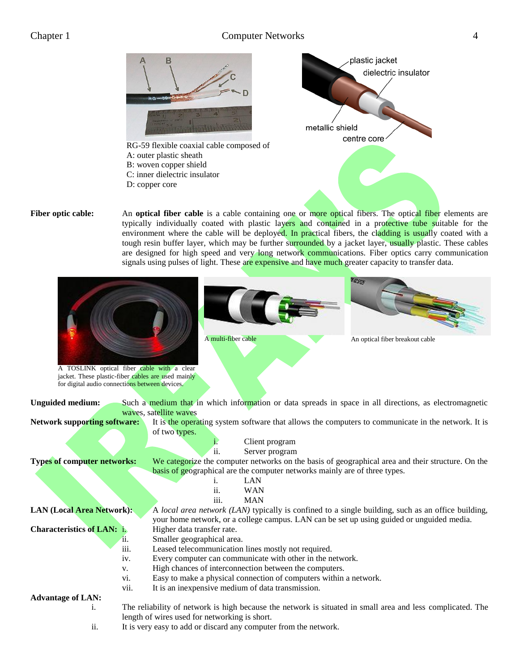# Chapter 1 Computer Networks 4



**Fiber optic cable:** An **optical fiber cable** is a cable containing one or more optical fibers. The optical fiber elements are typically individually coated with plastic layers and contained in a protective tube suitable for the environment where the cable will be deployed. In practical fibers, the cladding is usually coated with a tough resin buffer layer, which may be further surrounded by a jacket layer, usually plastic. These cables are designed for high speed and very long network communications. Fiber optics carry communication signals using pulses of light. These are expensive and have much greater capacity to transfer data.

| A TOSLINK optical fiber cable with a clear<br>jacket. These plastic-fiber cables are used mainly<br>for digital audio connections between devices. |                                                                          | 80.925<br>A multi-fiber cable<br>An optical fiber breakout cable                                           |  |  |
|----------------------------------------------------------------------------------------------------------------------------------------------------|--------------------------------------------------------------------------|------------------------------------------------------------------------------------------------------------|--|--|
| <b>Unguided medium:</b>                                                                                                                            |                                                                          | Such a medium that in which information or data spreads in space in all directions, as electromagnetic     |  |  |
|                                                                                                                                                    |                                                                          | waves, satellite waves                                                                                     |  |  |
| Network supporting software:                                                                                                                       |                                                                          | It is the operating system software that allows the computers to communicate in the network. It is         |  |  |
|                                                                                                                                                    |                                                                          | of two types.                                                                                              |  |  |
|                                                                                                                                                    |                                                                          | Client program                                                                                             |  |  |
|                                                                                                                                                    |                                                                          | ii.<br>Server program                                                                                      |  |  |
| <b>Types of computer networks:</b>                                                                                                                 |                                                                          | We categorize the computer networks on the basis of geographical area and their structure. On the          |  |  |
| basis of geographical are the computer networks mainly are of three types.                                                                         |                                                                          |                                                                                                            |  |  |
|                                                                                                                                                    |                                                                          | LAN<br>$\mathbf{1}$ .                                                                                      |  |  |
|                                                                                                                                                    |                                                                          | ii.<br><b>WAN</b>                                                                                          |  |  |
|                                                                                                                                                    |                                                                          | iii.<br><b>MAN</b>                                                                                         |  |  |
| <b>LAN (Local Area Network):</b>                                                                                                                   |                                                                          | A local area network (LAN) typically is confined to a single building, such as an office building,         |  |  |
|                                                                                                                                                    |                                                                          | your home network, or a college campus. LAN can be set up using guided or unguided media.                  |  |  |
| <b>Characteristics of LAN: i.</b>                                                                                                                  |                                                                          | Higher data transfer rate.                                                                                 |  |  |
|                                                                                                                                                    | $\ddot{\mathbf{u}}$ .                                                    | Smaller geographical area.                                                                                 |  |  |
|                                                                                                                                                    | iii.                                                                     | Leased telecommunication lines mostly not required.                                                        |  |  |
|                                                                                                                                                    | iv.                                                                      | Every computer can communicate with other in the network.                                                  |  |  |
|                                                                                                                                                    | V.                                                                       | High chances of interconnection between the computers.                                                     |  |  |
|                                                                                                                                                    | Easy to make a physical connection of computers within a network.<br>V1. |                                                                                                            |  |  |
|                                                                                                                                                    | vii.                                                                     | It is an inexpensive medium of data transmission.                                                          |  |  |
| <b>Advantage of LAN:</b>                                                                                                                           |                                                                          |                                                                                                            |  |  |
| i.                                                                                                                                                 |                                                                          | The reliability of network is high because the network is situated in small area and less complicated. The |  |  |
| length of wires used for networking is short.                                                                                                      |                                                                          |                                                                                                            |  |  |

ii. It is very easy to add or discard any computer from the network.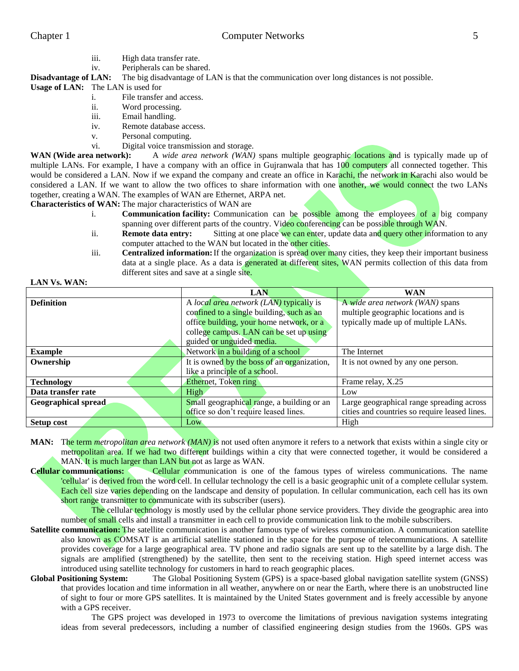**LAN Vs. WAN:**

- iii. High data transfer rate.
- iv. Peripherals can be shared.

# **Disadvantage of LAN:** The big disadvantage of LAN is that the communication over long distances is not possible.

**Usage of LAN:** The LAN is used for

- i. File transfer and access.
- ii. Word processing.
- iii. Email handling.
- iv. Remote database access.
- v. Personal computing.
- vi. Digital voice transmission and storage.

**WAN (Wide area network):** A *wide area network (WAN)* spans multiple geographic locations and is typically made up of multiple LANs. For example, I have a company with an office in Gujranwala that has 100 computers all connected together. This would be considered a LAN. Now if we expand the company and create an office in Karachi, the network in Karachi also would be considered a LAN. If we want to allow the two offices to share information with one **another**, we would connect the two LANs together, creating a WAN. The examples of WAN are Ethernet, ARPA net.

**Characteristics of WAN:** The major characteristics of WAN are

- i. **Communication facility:** Communication can be possible among the employees of a big company spanning over different parts of the country. Video conferencing can be possible through WAN.
- ii. **Remote data entry:** Sitting at one place we can enter, update data and query other information to any computer attached to the WAN but located in the other cities.
- iii. **Centralized information:**If the organization is spread over many cities, they keep their important business data at a single place. As a data is generated at different sites, WAN permits collection of this data from different sites and save at a single site.

|                            | LAN                                         | <b>WAN</b>                                    |
|----------------------------|---------------------------------------------|-----------------------------------------------|
| <b>Definition</b>          | A local area network (LAN) typically is     | A wide area network (WAN) spans               |
|                            | confined to a single building, such as an   | multiple geographic locations and is          |
|                            | office building, your home network, or a    | typically made up of multiple LANs.           |
|                            | college campus. LAN can be set up using     |                                               |
|                            | guided or unguided media.                   |                                               |
| <b>Example</b>             | Network in a building of a school           | The Internet                                  |
| Ownership                  | It is owned by the boss of an organization, | It is not owned by any one person.            |
|                            | like a principle of a school.               |                                               |
| <b>Technology</b>          | Ethernet, Token ring                        | Frame relay, X.25                             |
| Data transfer rate         | <b>High</b>                                 | Low                                           |
| <b>Geographical spread</b> | Small geographical range, a building or an  | Large geographical range spreading across     |
|                            | office so don't require leased lines.       | cities and countries so require leased lines. |
| <b>Setup cost</b>          | Low                                         | High                                          |

- **MAN:** The term *metropolitan area network (MAN)* is not used often anymore it refers to a network that exists within a single city or metropolitan area. If we had two different buildings within a city that were connected together, it would be considered a MAN. It is much larger than LAN but not as large as WAN.
- **Cellular communications:** Cellular communication is one of the famous types of wireless communications. The name 'cellular' is derived from the word cell. In cellular technology the cell is a basic geographic unit of a complete cellular system. Each cell size varies depending on the landscape and density of population. In cellular communication, each cell has its own short range transmitter to communicate with its subscriber (users).

The cellular technology is mostly used by the cellular phone service providers. They divide the geographic area into number of small cells and install a transmitter in each cell to provide communication link to the mobile subscribers.

- **Satellite communication:** The satellite communication is another famous type of wireless communication. A communication satellite also known as COMSAT is an artificial satellite stationed in the space for the purpose of telecommunications. A satellite provides coverage for a large geographical area. TV phone and radio signals are sent up to the satellite by a large dish. The signals are amplified (strengthened) by the satellite, then sent to the receiving station. High speed internet access was introduced using satellite technology for customers in hard to reach geographic places.
- **Global Positioning System:** The Global Positioning System (GPS) is a space-based global navigation satellite system (GNSS) that provides location and time information in all weather, anywhere on or near the Earth, where there is an unobstructed line of sight to four or more GPS satellites. It is maintained by the United States government and is freely accessible by anyone with a GPS receiver.

The GPS project was developed in 1973 to overcome the limitations of previous navigation systems integrating ideas from several predecessors, including a number of classified engineering design studies from the 1960s. GPS was